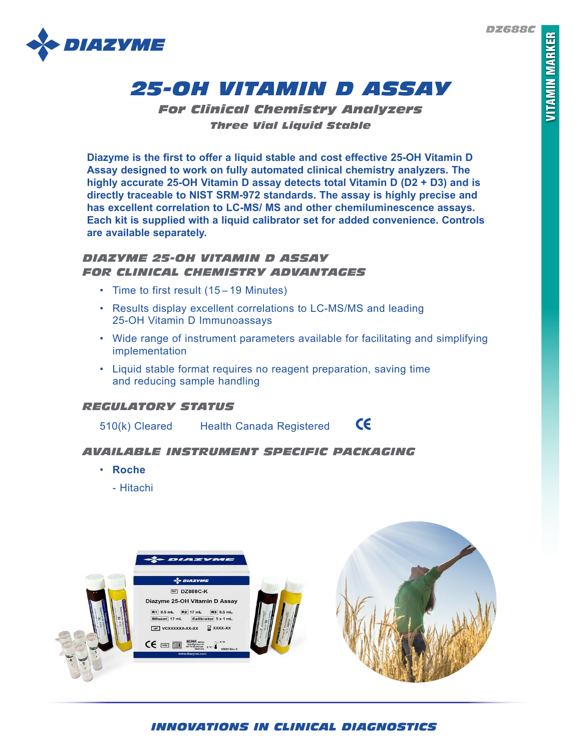*DZ688C*



# *25-OH VITAMIN D ASSAY*

*For Clinical Chemistry Analyzers Three Vial Liquid Stable*

**Diazyme is the first to offer a liquid stable and cost effective 25-OH Vitamin D Assay designed to work on fully automated clinical chemistry analyzers. The highly accurate 25-OH Vitamin D assay detects total Vitamin D (D2 + D3) and is directly traceable to NIST SRM-972 standards. The assay is highly precise and has excellent correlation to LC-MS/ MS and other chemiluminescence assays. Each kit is supplied with a liquid calibrator set for added convenience. Controls are available separately.** 

# *DIAZYME 25-OH VITAMIN D ASSAY FOR CLINICAL CHEMISTRY ADVANTAGES*

- Time to first result (15 19 Minutes)
- Results display excellent correlations to LC-MS/MS and leading 25-OH Vitamin D Immunoassays
- Wide range of instrument parameters available for facilitating and simplifying implementation
- Liquid stable format requires no reagent preparation, saving time and reducing sample handling

## *REGULATORY STATUS*

510(k) Cleared Health Canada Registered

 $\epsilon$ 

# *AVAILABLE INSTRUMENT SPECIFIC PACKAGING*

- **Roche**
	- Hitachi



*INNOVATIONS IN CLINICAL DIAGNOSTICS*